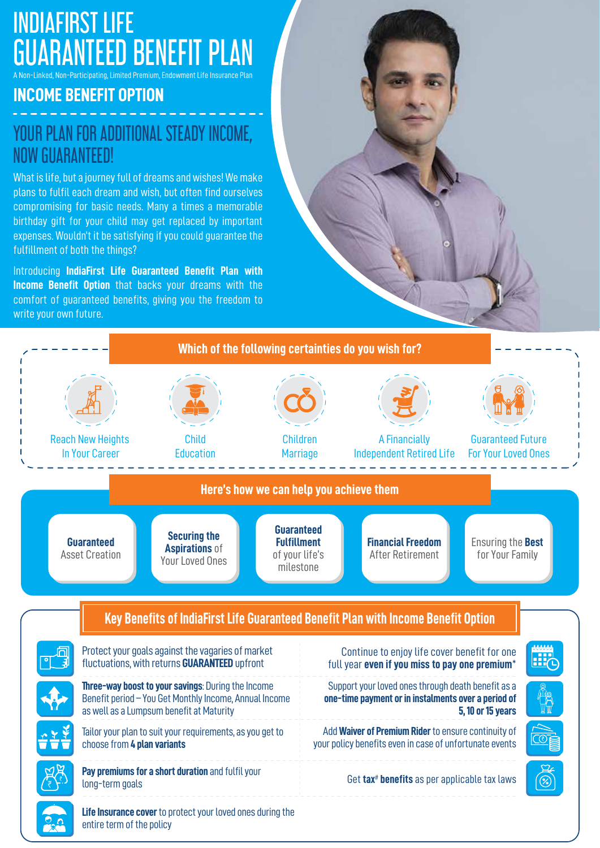# INDIAFIRST LIFE **RANTEED BENEFIT PLAN**

**A** Non-Participating, Limited Premium, Endowment Life Insurance Plan

### **INCOME BENEFIT OPTION**

## YOUR PLAN FOR ADDITIONAL STEADY INCOME, NOW GUARANTEED!

What is life, but a journey full of dreams and wishes! We make plans to fulfil each dream and wish, but often find ourselves compromising for basic needs. Many a times a memorable birthday gift for your child may get replaced by important expenses. Wouldn't it be satisfying if you could guarantee the fulfillment of both the things?

Introducing **IndiaFirst Life Guaranteed Benefit Plan with Income Benefit Option** that backs your dreams with the comfort of guaranteed benefits, giving you the freedom to write your own future.